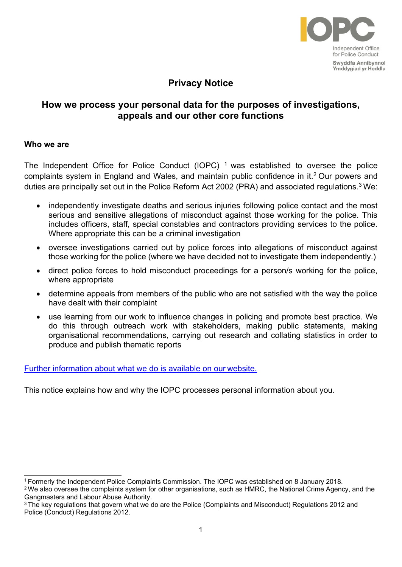

# **Privacy Notice**

## **How we process your personal data for the purposes of investigations, appeals and our other core functions**

#### **Who we are**

The Independent Office for Police Conduct (IOPC)  $<sup>1</sup>$  was established to oversee the police</sup> complaints system in England and Wales, and maintain public confidence in it.<sup>2</sup> Our powers and duties are principally set out in the Police Reform Act 2002 (PRA) and associated regulations.<sup>3</sup> We:

- independently investigate deaths and serious injuries following police contact and the most serious and sensitive allegations of misconduct against those working for the police. This includes officers, staff, special constables and contractors providing services to the police. Where appropriate this can be a criminal investigation
- oversee investigations carried out by police forces into allegations of misconduct against those working for the police (where we have decided not to investigate them independently.)
- direct police forces to hold misconduct proceedings for a person/s working for the police, where appropriate
- determine appeals from members of the public who are not satisfied with the way the police have dealt with their complaint
- use learning from our work to influence changes in policing and promote best practice. We do this through outreach work with stakeholders, making public statements, making organisational recommendations, carrying out research and collating statistics in order to produce and publish thematic reports

[Further information about what we do is available on our](http://www.policeconduct.gov.uk/) website.

This notice explains how and why the IOPC processes personal information about you.

<sup>1</sup>Formerly the Independent Police Complaints Commission. The IOPC was established on 8 January 2018.

<sup>&</sup>lt;sup>2</sup>We also oversee the complaints system for other organisations, such as HMRC, the National Crime Agency, and the Gangmasters and Labour Abuse Authority.

<sup>&</sup>lt;sup>3</sup>The key regulations that govern what we do are the Police (Complaints and Misconduct) Regulations 2012 and Police (Conduct) Regulations 2012.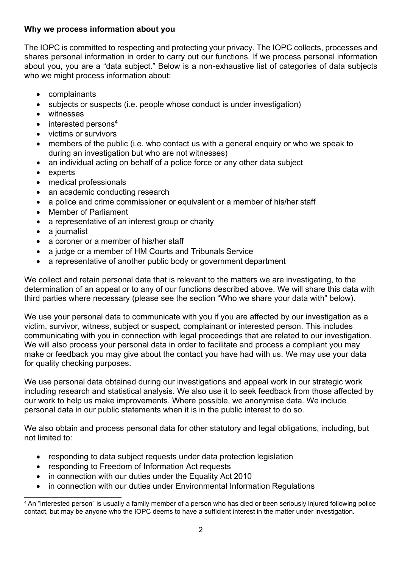### **Why we process information about you**

The IOPC is committed to respecting and protecting your privacy. The IOPC collects, processes and shares personal information in order to carry out our functions. If we process personal information about you, you are a "data subject." Below is a non-exhaustive list of categories of data subjects who we might process information about:

- complainants
- subjects or suspects (i.e. people whose conduct is under investigation)
- witnesses
- $\bullet$  interested persons<sup>4</sup>
- victims or survivors
- members of the public (i.e. who contact us with a general enquiry or who we speak to during an investigation but who are not witnesses)
- an individual acting on behalf of a police force or any other data subject
- experts
- medical professionals
- an academic conducting research
- a police and crime commissioner or equivalent or a member of his/her staff
- Member of Parliament
- a representative of an interest group or charity
- a journalist
- a coroner or a member of his/her staff
- a judge or a member of HM Courts and Tribunals Service
- a representative of another public body or government department

We collect and retain personal data that is relevant to the matters we are investigating, to the determination of an appeal or to any of our functions described above. We will share this data with third parties where necessary (please see the section "Who we share your data with" below).

We use your personal data to communicate with you if you are affected by our investigation as a victim, survivor, witness, subject or suspect, complainant or interested person. This includes communicating with you in connection with legal proceedings that are related to our investigation. We will also process your personal data in order to facilitate and process a compliant you may make or feedback you may give about the contact you have had with us. We may use your data for quality checking purposes.

We use personal data obtained during our investigations and appeal work in our strategic work including research and statistical analysis. We also use it to seek feedback from those affected by our work to help us make improvements. Where possible, we anonymise data. We include personal data in our public statements when it is in the public interest to do so.

We also obtain and process personal data for other statutory and legal obligations, including, but not limited to:

- responding to data subject requests under data protection legislation
- responding to Freedom of Information Act requests
- in connection with our duties under the Equality Act 2010
- in connection with our duties under Environmental Information Regulations

<sup>&</sup>lt;sup>4</sup> An "interested person" is usually a family member of a person who has died or been seriously injured following police contact, but may be anyone who the IOPC deems to have a sufficient interest in the matter under investigation.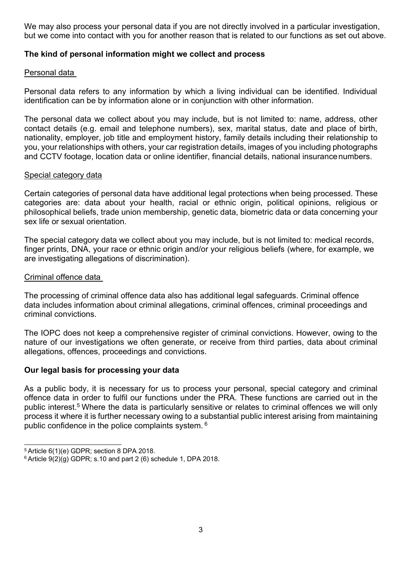We may also process your personal data if you are not directly involved in a particular investigation, but we come into contact with you for another reason that is related to our functions as set out above.

### **The kind of personal information might we collect and process**

#### Personal data

Personal data refers to any information by which a living individual can be identified. Individual identification can be by information alone or in conjunction with other information.

The personal data we collect about you may include, but is not limited to: name, address, other contact details (e.g. email and telephone numbers), sex, marital status, date and place of birth, nationality, employer, job title and employment history, family details including their relationship to you, your relationships with others, your car registration details, images of you including photographs and CCTV footage, location data or online identifier, financial details, national insurancenumbers.

#### Special category data

Certain categories of personal data have additional legal protections when being processed. These categories are: data about your health, racial or ethnic origin, political opinions, religious or philosophical beliefs, trade union membership, genetic data, biometric data or data concerning your sex life or sexual orientation

The special category data we collect about you may include, but is not limited to: medical records, finger prints, DNA, your race or ethnic origin and/or your religious beliefs (where, for example, we are investigating allegations of discrimination).

#### Criminal offence data

The processing of criminal offence data also has additional legal safeguards. Criminal offence data includes information about criminal allegations, criminal offences, criminal proceedings and criminal convictions.

The IOPC does not keep a comprehensive register of criminal convictions. However, owing to the nature of our investigations we often generate, or receive from third parties, data about criminal allegations, offences, proceedings and convictions.

### **Our legal basis for processing your data**

As a public body, it is necessary for us to process your personal, special category and criminal offence data in order to fulfil our functions under the PRA. These functions are carried out in the public interest.<sup>5</sup> Where the data is particularly sensitive or relates to criminal offences we will only process it where it is further necessary owing to a substantial public interest arising from maintaining public confidence in the police complaints system. <sup>6</sup>

<sup>5</sup>Article 6(1)(e) GDPR; section 8 DPA 2018.

 $6$  Article  $9(2)(g)$  GDPR; s.10 and part 2 (6) schedule 1, DPA 2018.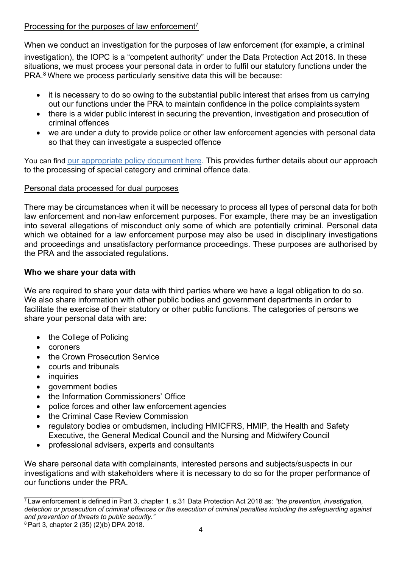### Processing for the purposes of law enforcement<sup>7</sup>

When we conduct an investigation for the purposes of law enforcement (for example, a criminal

investigation), the IOPC is a "competent authority" under the Data Protection Act 2018. In these situations, we must process your personal data in order to fulfil our statutory functions under the  $PRA<sup>8</sup>$  Where we process particularly sensitive data this will be because:

- it is necessary to do so owing to the substantial public interest that arises from us carrying out our functions under the PRA to maintain confidence in the police complaints system
- there is a wider public interest in securing the prevention, investigation and prosecution of criminal offences
- we are under a duty to provide police or other law enforcement agencies with personal data so that they can investigate a suspected offence

You can find [our appropriate policy document here.](https://policeconduct.gov.uk/sites/default/files/Documents/Who-we-are/Our-Policies/Appropriate_Policy_Document_Core_Functions.pdf) This provides further details about our approach to the processing of special category and criminal offence data.

### Personal data processed for dual purposes

There may be circumstances when it will be necessary to process all types of personal data for both law enforcement and non-law enforcement purposes. For example, there may be an investigation into several allegations of misconduct only some of which are potentially criminal. Personal data which we obtained for a law enforcement purpose may also be used in disciplinary investigations and proceedings and unsatisfactory performance proceedings. These purposes are authorised by the PRA and the associated regulations.

### **Who we share your data with**

We are required to share your data with third parties where we have a legal obligation to do so. We also share information with other public bodies and government departments in order to facilitate the exercise of their statutory or other public functions. The categories of persons we share your personal data with are:

- the College of Policing
- coroners
- the Crown Prosecution Service
- courts and tribunals
- **inquiries**
- government bodies
- the Information Commissioners' Office
- police forces and other law enforcement agencies
- the Criminal Case Review Commission
- regulatory bodies or ombudsmen, including HMICFRS, HMIP, the Health and Safety Executive, the General Medical Council and the Nursing and Midwifery Council
- professional advisers, experts and consultants

We share personal data with complainants, interested persons and subjects/suspects in our investigations and with stakeholders where it is necessary to do so for the proper performance of our functions under the PRA.

8 Part 3, chapter 2 (35) (2)(b) DPA 2018.

<sup>7</sup>Law enforcement is defined in Part 3, chapter 1, s.31 Data Protection Act 2018 as: *"the prevention, investigation, detection or prosecution of criminal offences or the execution of criminal penalties including the safeguarding against and prevention of threats to public security."*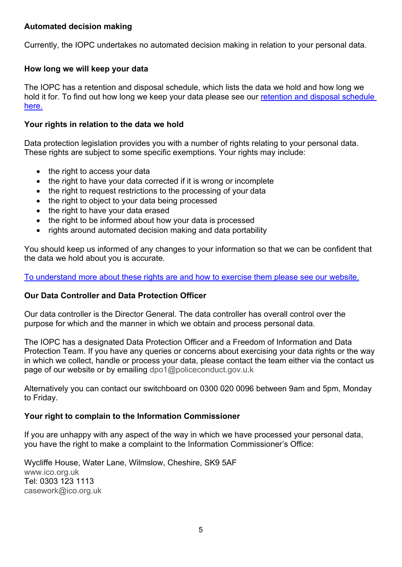### **Automated decision making**

Currently, the IOPC undertakes no automated decision making in relation to your personal data.

### **How long we will keep your data**

The IOPC has a retention and disposal schedule, which lists the data we hold and how long we hold it for. To find out how long we keep your data please see our retention and disposal schedule [here.](https://www.policeconduct.gov.uk/sites/default/files/Documents/Who-we-are/Our-Policies/IOPC_Retention_and_Disposal_Schedule_2021.xlsx)

### **Your rights in relation to the data we hold**

Data protection legislation provides you with a number of rights relating to your personal data. These rights are subject to some specific exemptions. Your rights may include:

- the right to access your data
- the right to have your data corrected if it is wrong or incomplete
- the right to request restrictions to the processing of your data
- the right to object to your data being processed
- the right to have your data erased
- the right to be informed about how your data is processed
- rights around automated decision making and data portability

You should keep us informed of any changes to your information so that we can be confident that the data we hold about you is accurate.

[To understand more about these rights are and how to exercise them please see our website.](https://www.policeconduct.gov.uk/who-we-are/accountability-and-performance/requesting-information-us)

### **Our Data Controller and Data Protection Officer**

Our data controller is the Director General. The data controller has overall control over the purpose for which and the manner in which we obtain and process personal data.

The IOPC has a designated Data Protection Officer and a Freedom of Information and Data Protection Team. If you have any queries or concerns about exercising your data rights or the way in which we collect, handle or process your data, please contact the team either via the contact us page of our website or by emailing [dpo1@policeconduct.gov.u.k](mailto:dpo1@policeconduct.gov.uk)

Alternatively you can contact our switchboard on 0300 020 0096 between 9am and 5pm, Monday to Friday.

### **Your right to complain to the Information Commissioner**

If you are unhappy with any aspect of the way in which we have processed your personal data, you have the right to make a complaint to the Information Commissioner's Office:

Wycliffe House, Water Lane, Wilmslow, Cheshire, SK9 5AF [www.ico.org.uk](http://www.ico.org.uk/) Tel: 0303 123 1113 [casework@ico.org.uk](mailto:casework@ico.org.uk)